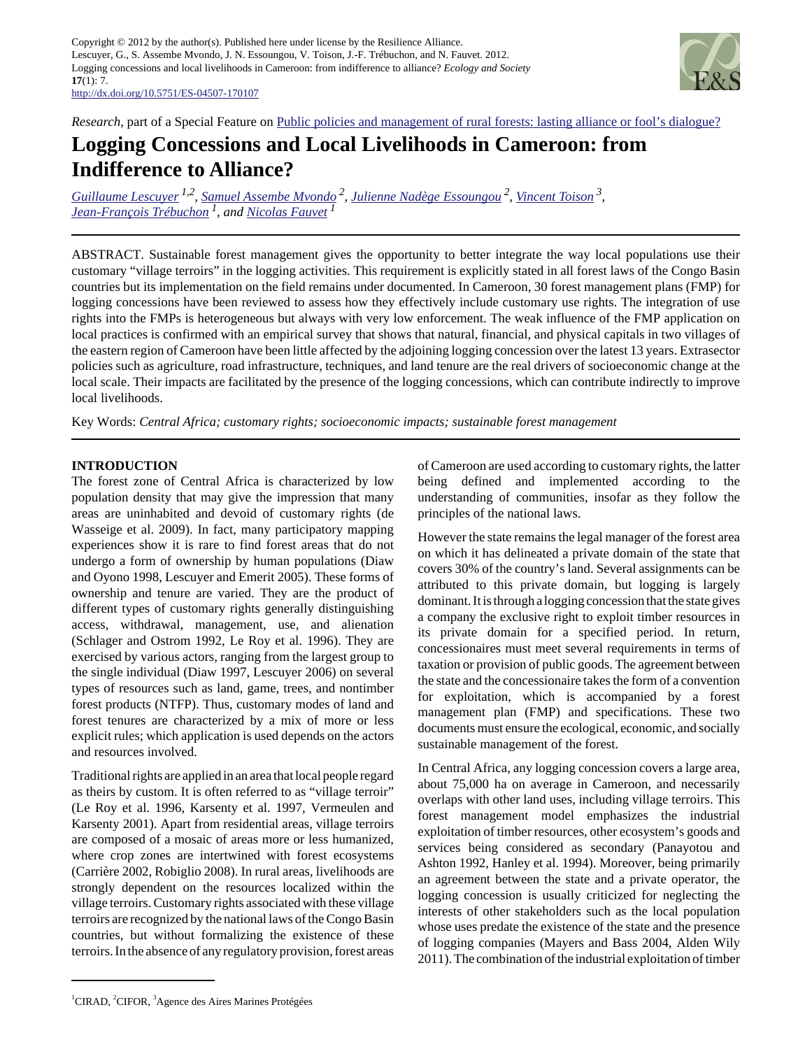Copyright © 2012 by the author(s). Published here under license by the Resilience Alliance. Lescuyer, G., S. Assembe Mvondo, J. N. Essoungou, V. Toison, J.-F. Trébuchon, and N. Fauvet. 2012. Logging concessions and local livelihoods in Cameroon: from indifference to alliance? *Ecology and Society* **17**(1): 7. <http://dx.doi.org/10.5751/ES-04507-170107>



*Research*, part of a Special Feature on [Public policies and management of rural forests: lasting alliance or fool's dialogue?](http://www.ecologyandsociety.org/viewissue.php?sf=62)

# **Logging Concessions and Local Livelihoods in Cameroon: from Indifference to Alliance?**

*[Guillaume Lescuyer](mailto:lescuyer@cirad.fr) 1,2 , [Samuel Assembe Mvondo](mailto:s.assembe@cgiar.org)<sup>2</sup> , [Julienne Nadège Essoungou](mailto:jnekwack@yahoo.fr)<sup>2</sup> , [Vincent Toison](mailto:vincent.toison@gmail.com)<sup>3</sup> , [Jean-François Trébuchon](mailto:jean-francois.trebuchon@cirad.fr) 1, and [Nicolas Fauvet](mailto:nicolas.fauvet@cirad.fr)<sup>1</sup>*

ABSTRACT. Sustainable forest management gives the opportunity to better integrate the way local populations use their customary "village terroirs" in the logging activities. This requirement is explicitly stated in all forest laws of the Congo Basin countries but its implementation on the field remains under documented. In Cameroon, 30 forest management plans (FMP) for logging concessions have been reviewed to assess how they effectively include customary use rights. The integration of use rights into the FMPs is heterogeneous but always with very low enforcement. The weak influence of the FMP application on local practices is confirmed with an empirical survey that shows that natural, financial, and physical capitals in two villages of the eastern region of Cameroon have been little affected by the adjoining logging concession over the latest 13 years. Extrasector policies such as agriculture, road infrastructure, techniques, and land tenure are the real drivers of socioeconomic change at the local scale. Their impacts are facilitated by the presence of the logging concessions, which can contribute indirectly to improve local livelihoods.

Key Words: *Central Africa; customary rights; socioeconomic impacts; sustainable forest management*

# **INTRODUCTION**

The forest zone of Central Africa is characterized by low population density that may give the impression that many areas are uninhabited and devoid of customary rights (de Wasseige et al. 2009). In fact, many participatory mapping experiences show it is rare to find forest areas that do not undergo a form of ownership by human populations (Diaw and Oyono 1998, Lescuyer and Emerit 2005). These forms of ownership and tenure are varied. They are the product of different types of customary rights generally distinguishing access, withdrawal, management, use, and alienation (Schlager and Ostrom 1992, Le Roy et al. 1996). They are exercised by various actors, ranging from the largest group to the single individual (Diaw 1997, Lescuyer 2006) on several types of resources such as land, game, trees, and nontimber forest products (NTFP). Thus, customary modes of land and forest tenures are characterized by a mix of more or less explicit rules; which application is used depends on the actors and resources involved.

Traditional rights are applied in an area that local people regard as theirs by custom. It is often referred to as "village terroir" (Le Roy et al. 1996, Karsenty et al. 1997, Vermeulen and Karsenty 2001). Apart from residential areas, village terroirs are composed of a mosaic of areas more or less humanized, where crop zones are intertwined with forest ecosystems (Carrière 2002, Robiglio 2008). In rural areas, livelihoods are strongly dependent on the resources localized within the village terroirs. Customary rights associated with these village terroirs are recognized by the national laws of the Congo Basin countries, but without formalizing the existence of these terroirs. In the absence of any regulatory provision, forest areas of Cameroon are used according to customary rights, the latter being defined and implemented according to the understanding of communities, insofar as they follow the principles of the national laws.

However the state remains the legal manager of the forest area on which it has delineated a private domain of the state that covers 30% of the country's land. Several assignments can be attributed to this private domain, but logging is largely dominant. It is through a logging concession that the state gives a company the exclusive right to exploit timber resources in its private domain for a specified period. In return, concessionaires must meet several requirements in terms of taxation or provision of public goods. The agreement between the state and the concessionaire takes the form of a convention for exploitation, which is accompanied by a forest management plan (FMP) and specifications. These two documents must ensure the ecological, economic, and socially sustainable management of the forest.

In Central Africa, any logging concession covers a large area, about 75,000 ha on average in Cameroon, and necessarily overlaps with other land uses, including village terroirs. This forest management model emphasizes the industrial exploitation of timber resources, other ecosystem's goods and services being considered as secondary (Panayotou and Ashton 1992, Hanley et al. 1994). Moreover, being primarily an agreement between the state and a private operator, the logging concession is usually criticized for neglecting the interests of other stakeholders such as the local population whose uses predate the existence of the state and the presence of logging companies (Mayers and Bass 2004, Alden Wily 2011). The combination of the industrial exploitation of timber

<sup>&</sup>lt;sup>1</sup>CIRAD, <sup>2</sup>CIFOR, <sup>3</sup>Agence des Aires Marines Protégées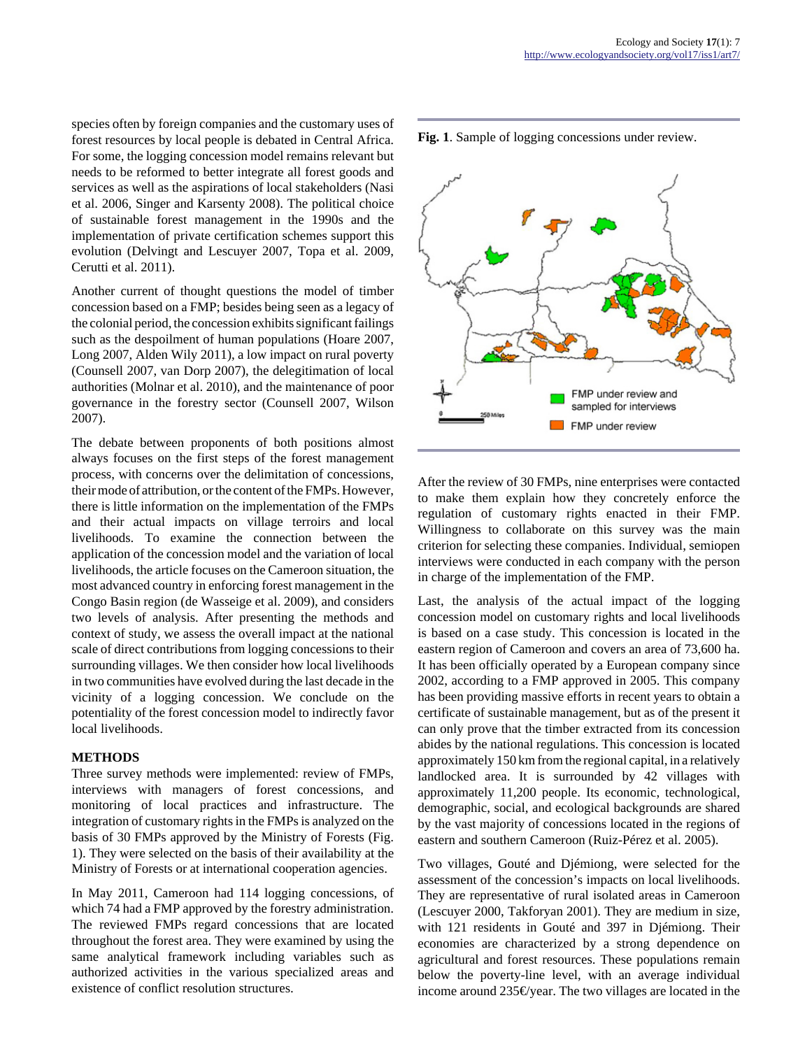species often by foreign companies and the customary uses of forest resources by local people is debated in Central Africa. For some, the logging concession model remains relevant but needs to be reformed to better integrate all forest goods and services as well as the aspirations of local stakeholders (Nasi et al. 2006, Singer and Karsenty 2008). The political choice of sustainable forest management in the 1990s and the implementation of private certification schemes support this evolution (Delvingt and Lescuyer 2007, Topa et al. 2009, Cerutti et al. 2011).

Another current of thought questions the model of timber concession based on a FMP; besides being seen as a legacy of the colonial period, the concession exhibits significant failings such as the despoilment of human populations (Hoare 2007, Long 2007, Alden Wily 2011), a low impact on rural poverty (Counsell 2007, van Dorp 2007), the delegitimation of local authorities (Molnar et al. 2010), and the maintenance of poor governance in the forestry sector (Counsell 2007, Wilson 2007).

The debate between proponents of both positions almost always focuses on the first steps of the forest management process, with concerns over the delimitation of concessions, their mode of attribution, or the content of the FMPs. However, there is little information on the implementation of the FMPs and their actual impacts on village terroirs and local livelihoods. To examine the connection between the application of the concession model and the variation of local livelihoods, the article focuses on the Cameroon situation, the most advanced country in enforcing forest management in the Congo Basin region (de Wasseige et al. 2009), and considers two levels of analysis. After presenting the methods and context of study, we assess the overall impact at the national scale of direct contributions from logging concessions to their surrounding villages. We then consider how local livelihoods in two communities have evolved during the last decade in the vicinity of a logging concession. We conclude on the potentiality of the forest concession model to indirectly favor local livelihoods.

## **METHODS**

Three survey methods were implemented: review of FMPs, interviews with managers of forest concessions, and monitoring of local practices and infrastructure. The integration of customary rights in the FMPs is analyzed on the basis of 30 FMPs approved by the Ministry of Forests (Fig. 1). They were selected on the basis of their availability at the Ministry of Forests or at international cooperation agencies.

In May 2011, Cameroon had 114 logging concessions, of which 74 had a FMP approved by the forestry administration. The reviewed FMPs regard concessions that are located throughout the forest area. They were examined by using the same analytical framework including variables such as authorized activities in the various specialized areas and existence of conflict resolution structures.





After the review of 30 FMPs, nine enterprises were contacted to make them explain how they concretely enforce the regulation of customary rights enacted in their FMP. Willingness to collaborate on this survey was the main criterion for selecting these companies. Individual, semiopen interviews were conducted in each company with the person in charge of the implementation of the FMP.

Last, the analysis of the actual impact of the logging concession model on customary rights and local livelihoods is based on a case study. This concession is located in the eastern region of Cameroon and covers an area of 73,600 ha. It has been officially operated by a European company since 2002, according to a FMP approved in 2005. This company has been providing massive efforts in recent years to obtain a certificate of sustainable management, but as of the present it can only prove that the timber extracted from its concession abides by the national regulations. This concession is located approximately 150 km from the regional capital, in a relatively landlocked area. It is surrounded by 42 villages with approximately 11,200 people. Its economic, technological, demographic, social, and ecological backgrounds are shared by the vast majority of concessions located in the regions of eastern and southern Cameroon (Ruiz-Pérez et al. 2005).

Two villages, Gouté and Djémiong, were selected for the assessment of the concession's impacts on local livelihoods. They are representative of rural isolated areas in Cameroon (Lescuyer 2000, Takforyan 2001). They are medium in size, with 121 residents in Gouté and 397 in Djémiong. Their economies are characterized by a strong dependence on agricultural and forest resources. These populations remain below the poverty-line level, with an average individual income around 235€/year. The two villages are located in the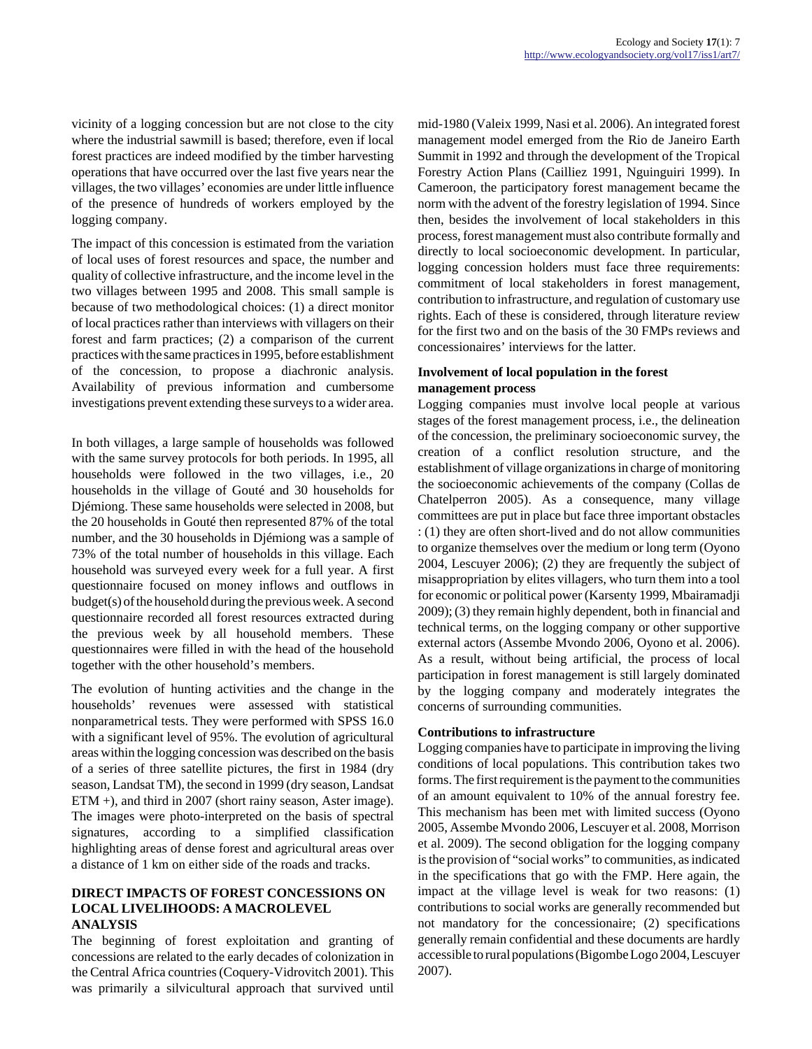vicinity of a logging concession but are not close to the city where the industrial sawmill is based; therefore, even if local forest practices are indeed modified by the timber harvesting operations that have occurred over the last five years near the villages, the two villages' economies are under little influence of the presence of hundreds of workers employed by the logging company.

The impact of this concession is estimated from the variation of local uses of forest resources and space, the number and quality of collective infrastructure, and the income level in the two villages between 1995 and 2008. This small sample is because of two methodological choices: (1) a direct monitor of local practices rather than interviews with villagers on their forest and farm practices; (2) a comparison of the current practices with the same practices in 1995, before establishment of the concession, to propose a diachronic analysis. Availability of previous information and cumbersome investigations prevent extending these surveys to a wider area.

In both villages, a large sample of households was followed with the same survey protocols for both periods. In 1995, all households were followed in the two villages, i.e., 20 households in the village of Gouté and 30 households for Djémiong. These same households were selected in 2008, but the 20 households in Gouté then represented 87% of the total number, and the 30 households in Djémiong was a sample of 73% of the total number of households in this village. Each household was surveyed every week for a full year. A first questionnaire focused on money inflows and outflows in budget(s) of the household during the previous week. A second questionnaire recorded all forest resources extracted during the previous week by all household members. These questionnaires were filled in with the head of the household together with the other household's members.

The evolution of hunting activities and the change in the households' revenues were assessed with statistical nonparametrical tests. They were performed with SPSS 16.0 with a significant level of 95%. The evolution of agricultural areas within the logging concession was described on the basis of a series of three satellite pictures, the first in 1984 (dry season, Landsat TM), the second in 1999 (dry season, Landsat ETM +), and third in 2007 (short rainy season, Aster image). The images were photo-interpreted on the basis of spectral signatures, according to a simplified classification highlighting areas of dense forest and agricultural areas over a distance of 1 km on either side of the roads and tracks.

# **DIRECT IMPACTS OF FOREST CONCESSIONS ON LOCAL LIVELIHOODS: A MACROLEVEL ANALYSIS**

The beginning of forest exploitation and granting of concessions are related to the early decades of colonization in the Central Africa countries (Coquery-Vidrovitch 2001). This was primarily a silvicultural approach that survived until mid-1980 (Valeix 1999, Nasi et al. 2006). An integrated forest management model emerged from the Rio de Janeiro Earth Summit in 1992 and through the development of the Tropical Forestry Action Plans (Cailliez 1991, Nguinguiri 1999). In Cameroon, the participatory forest management became the norm with the advent of the forestry legislation of 1994. Since then, besides the involvement of local stakeholders in this process, forest management must also contribute formally and directly to local socioeconomic development. In particular, logging concession holders must face three requirements: commitment of local stakeholders in forest management, contribution to infrastructure, and regulation of customary use rights. Each of these is considered, through literature review for the first two and on the basis of the 30 FMPs reviews and concessionaires' interviews for the latter.

# **Involvement of local population in the forest management process**

Logging companies must involve local people at various stages of the forest management process, i.e., the delineation of the concession, the preliminary socioeconomic survey, the creation of a conflict resolution structure, and the establishment of village organizations in charge of monitoring the socioeconomic achievements of the company (Collas de Chatelperron 2005). As a consequence, many village committees are put in place but face three important obstacles : (1) they are often short-lived and do not allow communities to organize themselves over the medium or long term (Oyono 2004, Lescuyer 2006); (2) they are frequently the subject of misappropriation by elites villagers, who turn them into a tool for economic or political power (Karsenty 1999, Mbairamadji 2009); (3) they remain highly dependent, both in financial and technical terms, on the logging company or other supportive external actors (Assembe Mvondo 2006, Oyono et al. 2006). As a result, without being artificial, the process of local participation in forest management is still largely dominated by the logging company and moderately integrates the concerns of surrounding communities.

# **Contributions to infrastructure**

Logging companies have to participate in improving the living conditions of local populations. This contribution takes two forms. The first requirement is the payment to the communities of an amount equivalent to 10% of the annual forestry fee. This mechanism has been met with limited success (Oyono 2005, Assembe Mvondo 2006, Lescuyer et al. 2008, Morrison et al. 2009). The second obligation for the logging company is the provision of "social works" to communities, as indicated in the specifications that go with the FMP. Here again, the impact at the village level is weak for two reasons: (1) contributions to social works are generally recommended but not mandatory for the concessionaire; (2) specifications generally remain confidential and these documents are hardly accessible to rural populations (Bigombe Logo 2004, Lescuyer 2007).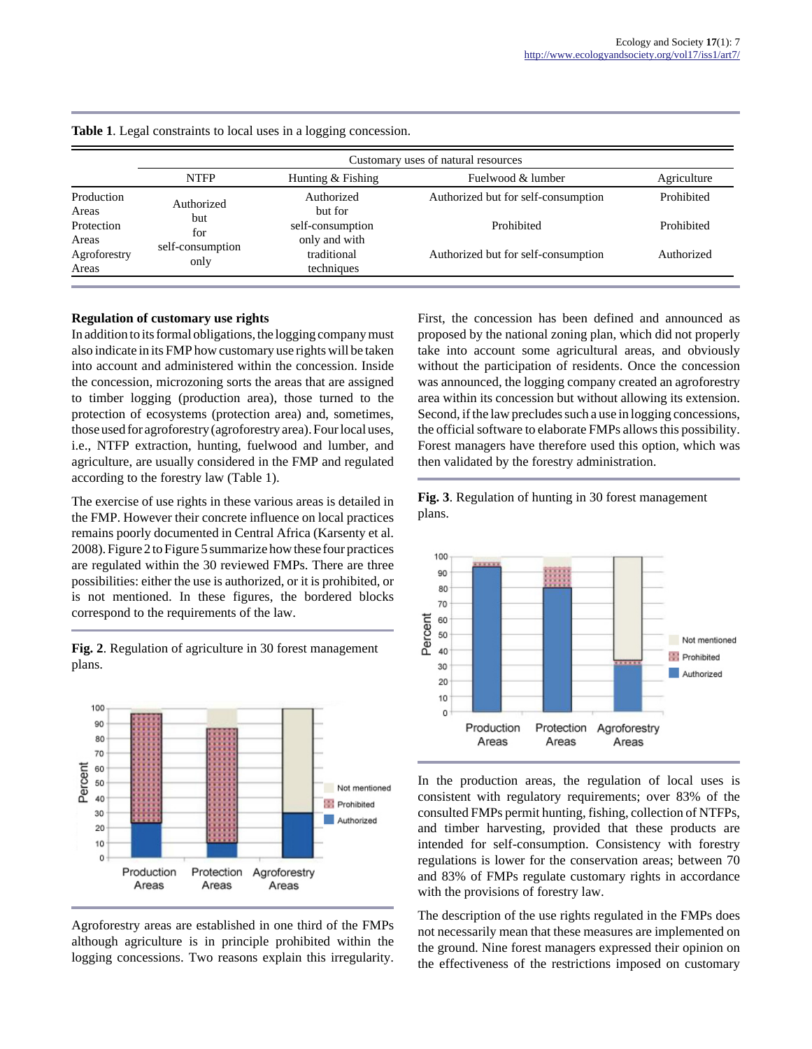|                       | Customary uses of natural resources                   |                                   |                                     |            |  |  |  |  |
|-----------------------|-------------------------------------------------------|-----------------------------------|-------------------------------------|------------|--|--|--|--|
|                       | <b>NTFP</b><br>Fuelwood & lumber<br>Hunting & Fishing |                                   |                                     |            |  |  |  |  |
| Production<br>Areas   | Authorized                                            | Authorized<br>but for             | Authorized but for self-consumption | Prohibited |  |  |  |  |
| Protection<br>Areas   | but<br>for                                            | self-consumption<br>only and with | Prohibited                          | Prohibited |  |  |  |  |
| Agroforestry<br>Areas | self-consumption<br>only                              | traditional<br>techniques         | Authorized but for self-consumption | Authorized |  |  |  |  |

|  | Table 1. Legal constraints to local uses in a logging concession. |  |  |
|--|-------------------------------------------------------------------|--|--|
|  |                                                                   |  |  |

#### **Regulation of customary use rights**

In addition to its formal obligations, the logging company must also indicate in its FMP how customary use rights will be taken into account and administered within the concession. Inside the concession, microzoning sorts the areas that are assigned to timber logging (production area), those turned to the protection of ecosystems (protection area) and, sometimes, those used for agroforestry (agroforestry area). Four local uses, i.e., NTFP extraction, hunting, fuelwood and lumber, and agriculture, are usually considered in the FMP and regulated according to the forestry law (Table 1).

The exercise of use rights in these various areas is detailed in the FMP. However their concrete influence on local practices remains poorly documented in Central Africa (Karsenty et al. 2008). Figure 2 to Figure 5 summarize how these four practices are regulated within the 30 reviewed FMPs. There are three possibilities: either the use is authorized, or it is prohibited, or is not mentioned. In these figures, the bordered blocks correspond to the requirements of the law.

**Fig. 2**. Regulation of agriculture in 30 forest management plans.



Agroforestry areas are established in one third of the FMPs although agriculture is in principle prohibited within the logging concessions. Two reasons explain this irregularity. First, the concession has been defined and announced as proposed by the national zoning plan, which did not properly take into account some agricultural areas, and obviously without the participation of residents. Once the concession was announced, the logging company created an agroforestry area within its concession but without allowing its extension. Second, if the law precludes such a use in logging concessions, the official software to elaborate FMPs allows this possibility. Forest managers have therefore used this option, which was then validated by the forestry administration.





In the production areas, the regulation of local uses is consistent with regulatory requirements; over 83% of the consulted FMPs permit hunting, fishing, collection of NTFPs, and timber harvesting, provided that these products are intended for self-consumption. Consistency with forestry regulations is lower for the conservation areas; between 70 and 83% of FMPs regulate customary rights in accordance with the provisions of forestry law.

The description of the use rights regulated in the FMPs does not necessarily mean that these measures are implemented on the ground. Nine forest managers expressed their opinion on the effectiveness of the restrictions imposed on customary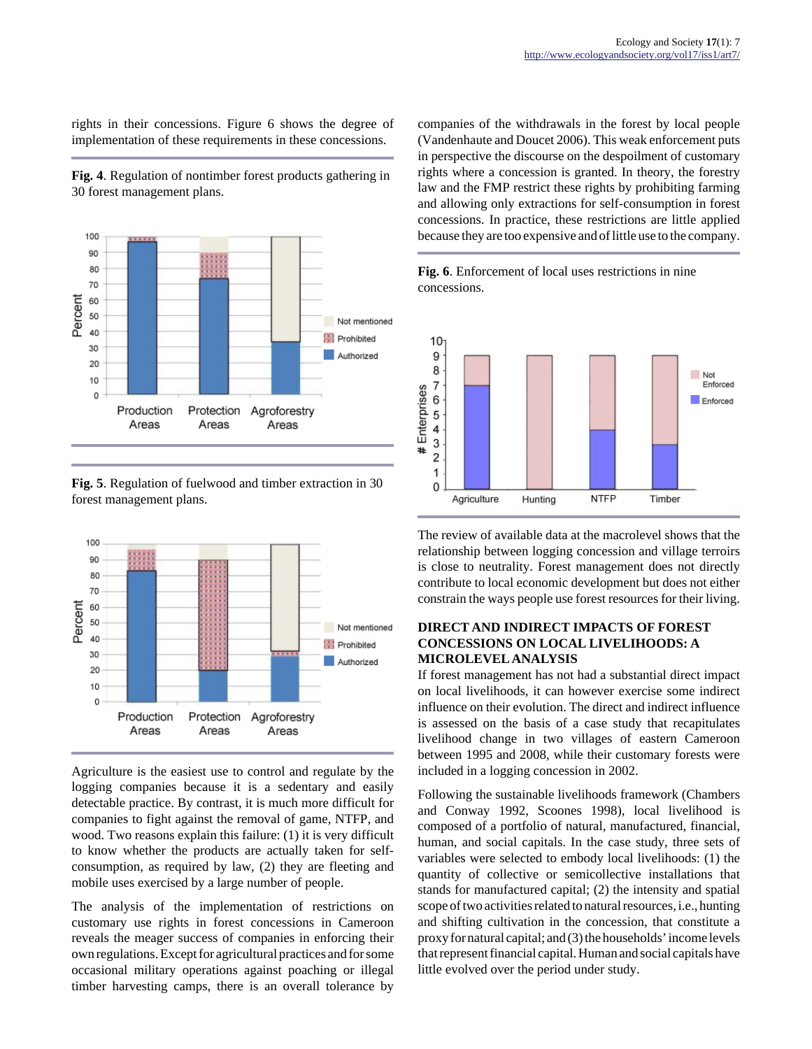rights in their concessions. Figure 6 shows the degree of implementation of these requirements in these concessions.

**Fig. 4**. Regulation of nontimber forest products gathering in 30 forest management plans.



**Fig. 5**. Regulation of fuelwood and timber extraction in 30 forest management plans.



Agriculture is the easiest use to control and regulate by the logging companies because it is a sedentary and easily detectable practice. By contrast, it is much more difficult for companies to fight against the removal of game, NTFP, and wood. Two reasons explain this failure: (1) it is very difficult to know whether the products are actually taken for selfconsumption, as required by law, (2) they are fleeting and mobile uses exercised by a large number of people.

The analysis of the implementation of restrictions on customary use rights in forest concessions in Cameroon reveals the meager success of companies in enforcing their own regulations. Except for agricultural practices and for some occasional military operations against poaching or illegal timber harvesting camps, there is an overall tolerance by companies of the withdrawals in the forest by local people (Vandenhaute and Doucet 2006). This weak enforcement puts in perspective the discourse on the despoilment of customary rights where a concession is granted. In theory, the forestry law and the FMP restrict these rights by prohibiting farming and allowing only extractions for self-consumption in forest concessions. In practice, these restrictions are little applied because they are too expensive and of little use to the company.





The review of available data at the macrolevel shows that the relationship between logging concession and village terroirs is close to neutrality. Forest management does not directly contribute to local economic development but does not either constrain the ways people use forest resources for their living.

# **DIRECT AND INDIRECT IMPACTS OF FOREST CONCESSIONS ON LOCAL LIVELIHOODS: A MICROLEVEL ANALYSIS**

If forest management has not had a substantial direct impact on local livelihoods, it can however exercise some indirect influence on their evolution. The direct and indirect influence is assessed on the basis of a case study that recapitulates livelihood change in two villages of eastern Cameroon between 1995 and 2008, while their customary forests were included in a logging concession in 2002.

Following the sustainable livelihoods framework (Chambers and Conway 1992, Scoones 1998), local livelihood is composed of a portfolio of natural, manufactured, financial, human, and social capitals. In the case study, three sets of variables were selected to embody local livelihoods: (1) the quantity of collective or semicollective installations that stands for manufactured capital; (2) the intensity and spatial scope of two activities related to natural resources, i.e., hunting and shifting cultivation in the concession, that constitute a proxy for natural capital; and (3) the households' income levels that represent financial capital. Human and social capitals have little evolved over the period under study.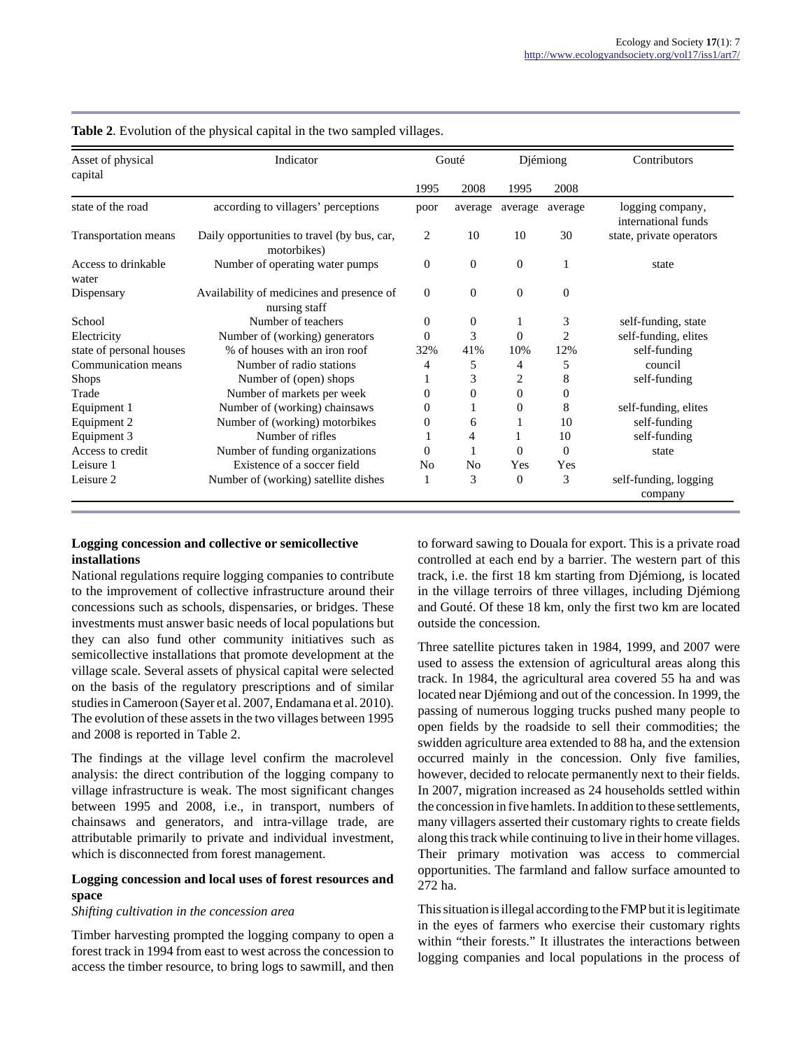| Asset of physical<br>capital | Indicator                                                  |              | Gouté          |                | Diémiong       | Contributors                            |  |
|------------------------------|------------------------------------------------------------|--------------|----------------|----------------|----------------|-----------------------------------------|--|
|                              |                                                            | 1995         | 2008           | 1995           | 2008           |                                         |  |
| state of the road            | according to villagers' perceptions                        | poor         | average        | average        | average        | logging company,<br>international funds |  |
| Transportation means         | Daily opportunities to travel (by bus, car,<br>motorbikes) |              | 10             | 10             | 30             | state, private operators                |  |
| Access to drinkable<br>water | Number of operating water pumps                            | $\mathbf{0}$ | $\mathbf{0}$   | $\overline{0}$ |                | state                                   |  |
| Dispensary                   | Availability of medicines and presence of<br>nursing staff | $\mathbf{0}$ | $\mathbf{0}$   | $\overline{0}$ | $\overline{0}$ |                                         |  |
| School                       | Number of teachers                                         | $\mathbf{0}$ | $\overline{0}$ |                | 3              | self-funding, state                     |  |
| Electricity                  | Number of (working) generators                             | $\Omega$     | 3              | 0              | $\overline{2}$ | self-funding, elites                    |  |
| state of personal houses     | % of houses with an iron roof                              | 32%          | 41%            | 10%            | 12%            | self-funding                            |  |
| Communication means          | Number of radio stations                                   | 4            | 5              | 4              | 5              | council                                 |  |
| <b>Shops</b>                 | Number of (open) shops                                     |              | 3              | 2              | 8              | self-funding                            |  |
| Trade                        | Number of markets per week                                 | 0            | $\Omega$       | $\Omega$       | 0              |                                         |  |
| Equipment 1                  | Number of (working) chainsaws                              | 0            |                | 0              | 8              | self-funding, elites                    |  |
| Equipment 2                  | Number of (working) motorbikes                             | $\mathbf{0}$ | 6              |                | 10             | self-funding                            |  |
| Equipment 3                  | Number of rifles                                           |              | 4              | 1              | 10             | self-funding                            |  |
| Access to credit             | Number of funding organizations                            | $\Omega$     |                | $\Omega$       | $\Omega$       | state                                   |  |
| Leisure 1                    | Existence of a soccer field                                | No           | N <sub>o</sub> | Yes            | Yes            |                                         |  |
| Leisure 2                    | Number of (working) satellite dishes                       |              | 3              | $\Omega$       | 3              | self-funding, logging<br>company        |  |

**Table 2**. Evolution of the physical capital in the two sampled villages.

## **Logging concession and collective or semicollective installations**

National regulations require logging companies to contribute to the improvement of collective infrastructure around their concessions such as schools, dispensaries, or bridges. These investments must answer basic needs of local populations but they can also fund other community initiatives such as semicollective installations that promote development at the village scale. Several assets of physical capital were selected on the basis of the regulatory prescriptions and of similar studies in Cameroon (Sayer et al. 2007, Endamana et al. 2010). The evolution of these assets in the two villages between 1995 and 2008 is reported in Table 2.

The findings at the village level confirm the macrolevel analysis: the direct contribution of the logging company to village infrastructure is weak. The most significant changes between 1995 and 2008, i.e., in transport, numbers of chainsaws and generators, and intra-village trade, are attributable primarily to private and individual investment, which is disconnected from forest management.

## **Logging concession and local uses of forest resources and space**

## *Shifting cultivation in the concession area*

Timber harvesting prompted the logging company to open a forest track in 1994 from east to west across the concession to access the timber resource, to bring logs to sawmill, and then to forward sawing to Douala for export. This is a private road controlled at each end by a barrier. The western part of this track, i.e. the first 18 km starting from Djémiong, is located in the village terroirs of three villages, including Djémiong and Gouté. Of these 18 km, only the first two km are located outside the concession.

Three satellite pictures taken in 1984, 1999, and 2007 were used to assess the extension of agricultural areas along this track. In 1984, the agricultural area covered 55 ha and was located near Djémiong and out of the concession. In 1999, the passing of numerous logging trucks pushed many people to open fields by the roadside to sell their commodities; the swidden agriculture area extended to 88 ha, and the extension occurred mainly in the concession. Only five families, however, decided to relocate permanently next to their fields. In 2007, migration increased as 24 households settled within the concession in five hamlets. In addition to these settlements, many villagers asserted their customary rights to create fields along this track while continuing to live in their home villages. Their primary motivation was access to commercial opportunities. The farmland and fallow surface amounted to 272 ha.

This situation is illegal according to the FMP but it is legitimate in the eyes of farmers who exercise their customary rights within "their forests." It illustrates the interactions between logging companies and local populations in the process of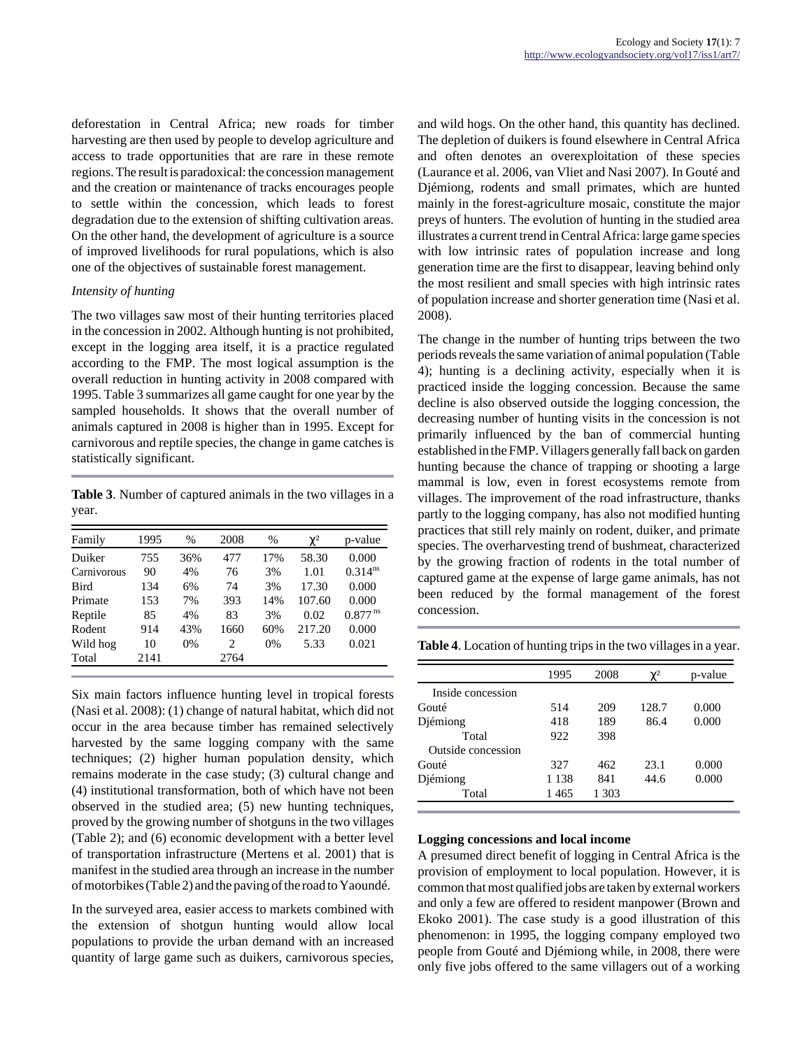deforestation in Central Africa; new roads for timber harvesting are then used by people to develop agriculture and access to trade opportunities that are rare in these remote regions. The result is paradoxical: the concession management and the creation or maintenance of tracks encourages people to settle within the concession, which leads to forest degradation due to the extension of shifting cultivation areas. On the other hand, the development of agriculture is a source of improved livelihoods for rural populations, which is also one of the objectives of sustainable forest management.

## *Intensity of hunting*

The two villages saw most of their hunting territories placed in the concession in 2002. Although hunting is not prohibited, except in the logging area itself, it is a practice regulated according to the FMP. The most logical assumption is the overall reduction in hunting activity in 2008 compared with 1995. Table 3 summarizes all game caught for one year by the sampled households. It shows that the overall number of animals captured in 2008 is higher than in 1995. Except for carnivorous and reptile species, the change in game catches is statistically significant.

**Table 3**. Number of captured animals in the two villages in a year.

| Family      | 1995 | $\%$ | 2008 | $\%$ | $\chi^2$ | p-value               |
|-------------|------|------|------|------|----------|-----------------------|
| Duiker      | 755  | 36%  | 477  | 17%  | 58.30    | 0.000                 |
| Carnivorous | 90   | 4%   | 76   | 3%   | 1.01     | $0.314^{ns}$          |
| <b>Bird</b> | 134  | 6%   | 74   | 3%   | 17.30    | 0.000                 |
| Primate     | 153  | 7%   | 393  | 14%  | 107.60   | 0.000                 |
| Reptile     | 85   | 4%   | 83   | 3%   | 0.02     | $0.877$ <sup>ns</sup> |
| Rodent      | 914  | 43%  | 1660 | 60%  | 217.20   | 0.000                 |
| Wild hog    | 10   | 0%   | 2    | 0%   | 5.33     | 0.021                 |
| Total       | 2141 |      | 2764 |      |          |                       |

Six main factors influence hunting level in tropical forests (Nasi et al. 2008): (1) change of natural habitat, which did not occur in the area because timber has remained selectively harvested by the same logging company with the same techniques; (2) higher human population density, which remains moderate in the case study; (3) cultural change and (4) institutional transformation, both of which have not been observed in the studied area; (5) new hunting techniques, proved by the growing number of shotguns in the two villages (Table 2); and (6) economic development with a better level of transportation infrastructure (Mertens et al. 2001) that is manifest in the studied area through an increase in the number of motorbikes (Table 2) and the paving of the road to Yaoundé.

In the surveyed area, easier access to markets combined with the extension of shotgun hunting would allow local populations to provide the urban demand with an increased quantity of large game such as duikers, carnivorous species, and wild hogs. On the other hand, this quantity has declined. The depletion of duikers is found elsewhere in Central Africa and often denotes an overexploitation of these species (Laurance et al. 2006, van Vliet and Nasi 2007). In Gouté and Djémiong, rodents and small primates, which are hunted mainly in the forest-agriculture mosaic, constitute the major preys of hunters. The evolution of hunting in the studied area illustrates a current trend in Central Africa: large game species with low intrinsic rates of population increase and long generation time are the first to disappear, leaving behind only the most resilient and small species with high intrinsic rates of population increase and shorter generation time (Nasi et al. 2008).

The change in the number of hunting trips between the two periods reveals the same variation of animal population (Table 4); hunting is a declining activity, especially when it is practiced inside the logging concession. Because the same decline is also observed outside the logging concession, the decreasing number of hunting visits in the concession is not primarily influenced by the ban of commercial hunting established in the FMP. Villagers generally fall back on garden hunting because the chance of trapping or shooting a large mammal is low, even in forest ecosystems remote from villages. The improvement of the road infrastructure, thanks partly to the logging company, has also not modified hunting practices that still rely mainly on rodent, duiker, and primate species. The overharvesting trend of bushmeat, characterized by the growing fraction of rodents in the total number of captured game at the expense of large game animals, has not been reduced by the formal management of the forest concession.

**Table 4**. Location of hunting trips in the two villages in a year.

|                    | 1995    | 2008  | $\chi^2$ | p-value |
|--------------------|---------|-------|----------|---------|
| Inside concession  |         |       |          |         |
| Gouté              | 514     | 209   | 128.7    | 0.000   |
| Djémiong           | 418     | 189   | 86.4     | 0.000   |
| Total              | 922     | 398   |          |         |
| Outside concession |         |       |          |         |
| Gouté              | 327     | 462   | 23.1     | 0.000   |
| Djémiong           | 1 1 3 8 | 841   | 44.6     | 0.000   |
| Total              | 1 465   | 1 303 |          |         |

## **Logging concessions and local income**

A presumed direct benefit of logging in Central Africa is the provision of employment to local population. However, it is common that most qualified jobs are taken by external workers and only a few are offered to resident manpower (Brown and Ekoko 2001). The case study is a good illustration of this phenomenon: in 1995, the logging company employed two people from Gouté and Djémiong while, in 2008, there were only five jobs offered to the same villagers out of a working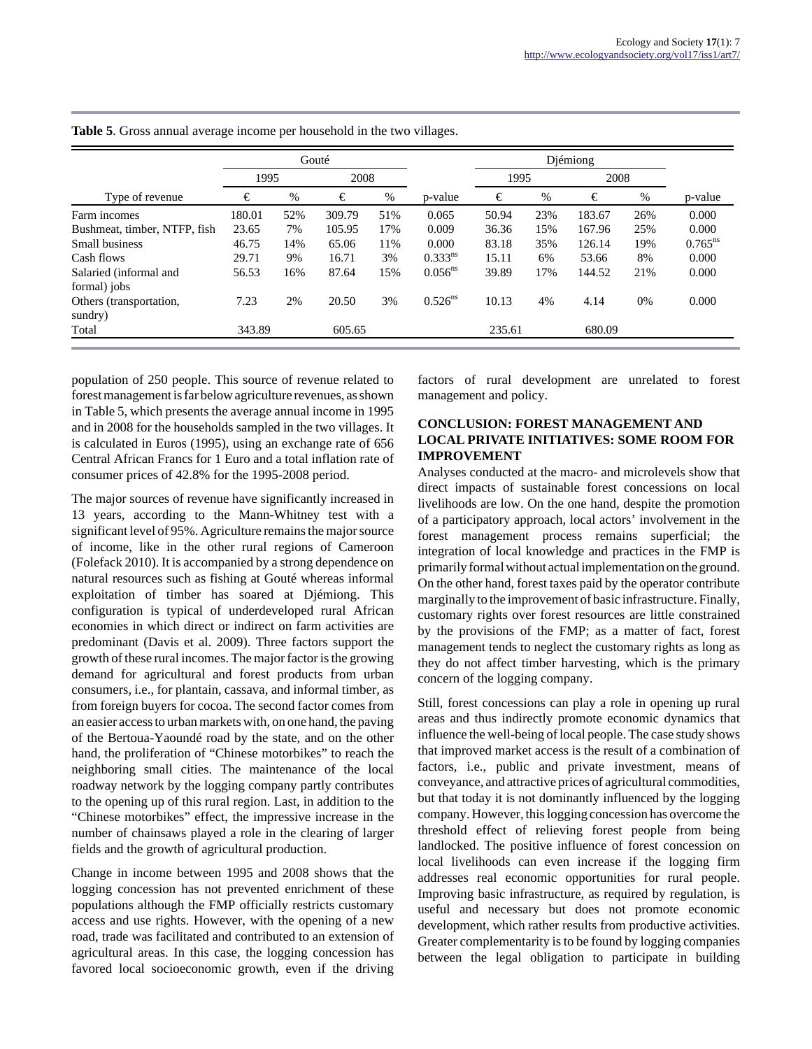|                              | Gouté  |      |        |     | Diémiong     |        |     |        |     |              |
|------------------------------|--------|------|--------|-----|--------------|--------|-----|--------|-----|--------------|
|                              | 1995   |      | 2008   |     |              | 1995   |     | 2008   |     |              |
| Type of revenue              | €      | $\%$ | €      | %   | p-value      | €      | %   | €      |     | p-value      |
| Farm incomes                 | 180.01 | 52%  | 309.79 | 51% | 0.065        | 50.94  | 23% | 183.67 | 26% | 0.000        |
| Bushmeat, timber, NTFP, fish | 23.65  | 7%   | 105.95 | 17% | 0.009        | 36.36  | 15% | 167.96 | 25% | 0.000        |
| Small business               | 46.75  | 14%  | 65.06  | 11% | 0.000        | 83.18  | 35% | 126.14 | 19% | $0.765^{ns}$ |
| Cash flows                   | 29.71  | 9%   | 16.71  | 3%  | $0.333^{ns}$ | 15.11  | 6%  | 53.66  | 8%  | 0.000        |
| Salaried (informal and       | 56.53  | 16%  | 87.64  | 15% | $0.056^{ns}$ | 39.89  | 17% | 144.52 | 21% | 0.000        |
| formal) jobs                 |        |      |        |     |              |        |     |        |     |              |
| Others (transportation,      | 7.23   | 2%   | 20.50  | 3%  | $0.526^{ns}$ | 10.13  | 4%  | 4.14   | 0%  | 0.000        |
| sundry)                      |        |      |        |     |              |        |     |        |     |              |
| Total                        | 343.89 |      | 605.65 |     |              | 235.61 |     | 680.09 |     |              |

**Table 5**. Gross annual average income per household in the two villages.

population of 250 people. This source of revenue related to forest management is far below agriculture revenues, as shown in Table 5, which presents the average annual income in 1995 and in 2008 for the households sampled in the two villages. It is calculated in Euros (1995), using an exchange rate of 656 Central African Francs for 1 Euro and a total inflation rate of consumer prices of 42.8% for the 1995-2008 period.

The major sources of revenue have significantly increased in 13 years, according to the Mann-Whitney test with a significant level of 95%. Agriculture remains the major source of income, like in the other rural regions of Cameroon (Folefack 2010). It is accompanied by a strong dependence on natural resources such as fishing at Gouté whereas informal exploitation of timber has soared at Djémiong. This configuration is typical of underdeveloped rural African economies in which direct or indirect on farm activities are predominant (Davis et al. 2009). Three factors support the growth of these rural incomes. The major factor is the growing demand for agricultural and forest products from urban consumers, i.e., for plantain, cassava, and informal timber, as from foreign buyers for cocoa. The second factor comes from an easier access to urban markets with, on one hand, the paving of the Bertoua-Yaoundé road by the state, and on the other hand, the proliferation of "Chinese motorbikes" to reach the neighboring small cities. The maintenance of the local roadway network by the logging company partly contributes to the opening up of this rural region. Last, in addition to the "Chinese motorbikes" effect, the impressive increase in the number of chainsaws played a role in the clearing of larger fields and the growth of agricultural production.

Change in income between 1995 and 2008 shows that the logging concession has not prevented enrichment of these populations although the FMP officially restricts customary access and use rights. However, with the opening of a new road, trade was facilitated and contributed to an extension of agricultural areas. In this case, the logging concession has favored local socioeconomic growth, even if the driving

factors of rural development are unrelated to forest management and policy.

## **CONCLUSION: FOREST MANAGEMENT AND LOCAL PRIVATE INITIATIVES: SOME ROOM FOR IMPROVEMENT**

Analyses conducted at the macro- and microlevels show that direct impacts of sustainable forest concessions on local livelihoods are low. On the one hand, despite the promotion of a participatory approach, local actors' involvement in the forest management process remains superficial; the integration of local knowledge and practices in the FMP is primarily formal without actual implementation on the ground. On the other hand, forest taxes paid by the operator contribute marginally to the improvement of basic infrastructure. Finally, customary rights over forest resources are little constrained by the provisions of the FMP; as a matter of fact, forest management tends to neglect the customary rights as long as they do not affect timber harvesting, which is the primary concern of the logging company.

Still, forest concessions can play a role in opening up rural areas and thus indirectly promote economic dynamics that influence the well-being of local people. The case study shows that improved market access is the result of a combination of factors, i.e., public and private investment, means of conveyance, and attractive prices of agricultural commodities, but that today it is not dominantly influenced by the logging company. However, this logging concession has overcome the threshold effect of relieving forest people from being landlocked. The positive influence of forest concession on local livelihoods can even increase if the logging firm addresses real economic opportunities for rural people. Improving basic infrastructure, as required by regulation, is useful and necessary but does not promote economic development, which rather results from productive activities. Greater complementarity is to be found by logging companies between the legal obligation to participate in building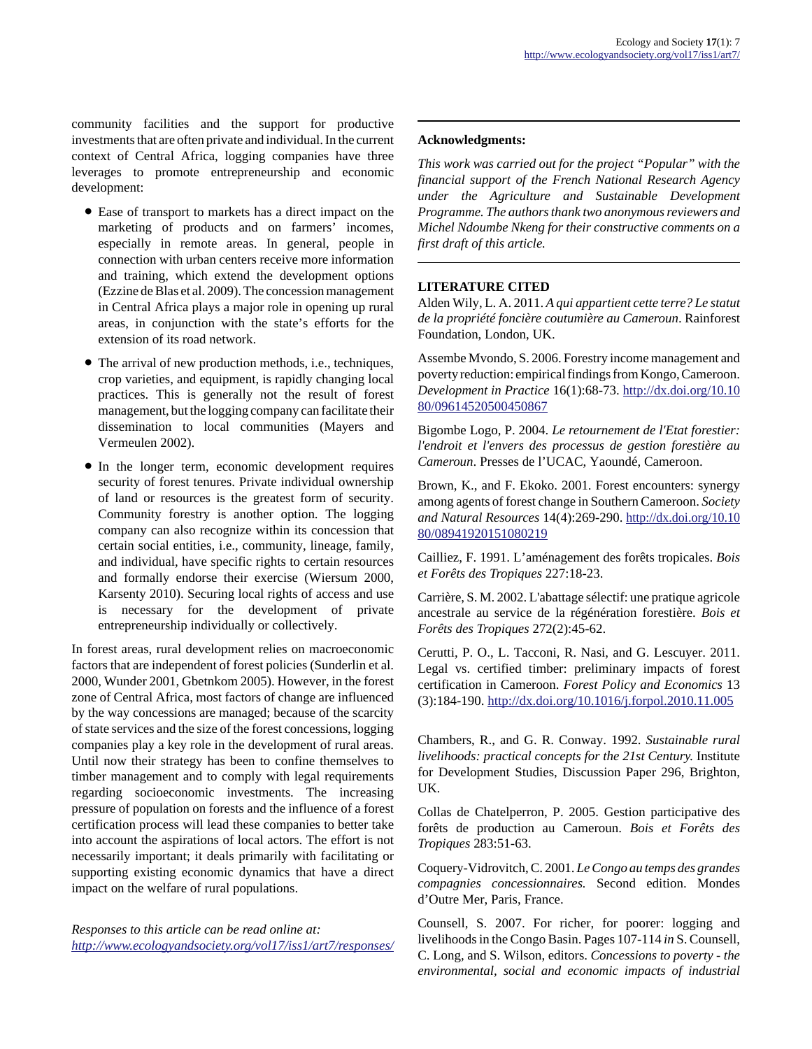community facilities and the support for productive investments that are often private and individual. In the current context of Central Africa, logging companies have three leverages to promote entrepreneurship and economic development:

- Ease of transport to markets has a direct impact on the marketing of products and on farmers' incomes, especially in remote areas. In general, people in connection with urban centers receive more information and training, which extend the development options (Ezzine de Blas et al. 2009). The concession management in Central Africa plays a major role in opening up rural areas, in conjunction with the state's efforts for the extension of its road network.
- The arrival of new production methods, i.e., techniques, crop varieties, and equipment, is rapidly changing local practices. This is generally not the result of forest management, but the logging company can facilitate their dissemination to local communities (Mayers and Vermeulen 2002).
- In the longer term, economic development requires security of forest tenures. Private individual ownership of land or resources is the greatest form of security. Community forestry is another option. The logging company can also recognize within its concession that certain social entities, i.e., community, lineage, family, and individual, have specific rights to certain resources and formally endorse their exercise (Wiersum 2000, Karsenty 2010). Securing local rights of access and use is necessary for the development of private entrepreneurship individually or collectively.

In forest areas, rural development relies on macroeconomic factors that are independent of forest policies (Sunderlin et al. 2000, Wunder 2001, Gbetnkom 2005). However, in the forest zone of Central Africa, most factors of change are influenced by the way concessions are managed; because of the scarcity of state services and the size of the forest concessions, logging companies play a key role in the development of rural areas. Until now their strategy has been to confine themselves to timber management and to comply with legal requirements regarding socioeconomic investments. The increasing pressure of population on forests and the influence of a forest certification process will lead these companies to better take into account the aspirations of local actors. The effort is not necessarily important; it deals primarily with facilitating or supporting existing economic dynamics that have a direct impact on the welfare of rural populations.

*Responses to this article can be read online at: <http://www.ecologyandsociety.org/vol17/iss1/art7/responses/>*

## **Acknowledgments:**

*This work was carried out for the project "Popular" with the financial support of the French National Research Agency under the Agriculture and Sustainable Development Programme. The authors thank two anonymous reviewers and Michel Ndoumbe Nkeng for their constructive comments on a first draft of this article.*

## **LITERATURE CITED**

Alden Wily, L. A. 2011. *A qui appartient cette terre? Le statut de la propriété foncière coutumière au Cameroun*. Rainforest Foundation, London, UK.

Assembe Mvondo, S. 2006. Forestry income management and poverty reduction: empirical findings from Kongo, Cameroon. *Development in Practice* 16(1):68-73. [http://dx.doi.org/10.10](http://dx.doi.org/10.1080/09614520500450867) [80/09614520500450867](http://dx.doi.org/10.1080/09614520500450867)

Bigombe Logo, P. 2004. *Le retournement de l'Etat forestier: l'endroit et l'envers des processus de gestion forestière au Cameroun*. Presses de l'UCAC, Yaoundé, Cameroon.

Brown, K., and F. Ekoko. 2001. Forest encounters: synergy among agents of forest change in Southern Cameroon. *Society and Natural Resources* 14(4):269-290. [http://dx.doi.org/10.10](http://dx.doi.org/10.1080/08941920151080219) [80/08941920151080219](http://dx.doi.org/10.1080/08941920151080219)

Cailliez, F. 1991. L'aménagement des forêts tropicales. *Bois et Forêts des Tropiques* 227:18-23.

Carrière, S. M. 2002. L'abattage sélectif: une pratique agricole ancestrale au service de la régénération forestière. *Bois et Forêts des Tropiques* 272(2):45-62.

Cerutti, P. O., L. Tacconi, R. Nasi, and G. Lescuyer. 2011. Legal vs. certified timber: preliminary impacts of forest certification in Cameroon. *Forest Policy and Economics* 13 (3):184-190. <http://dx.doi.org/10.1016/j.forpol.2010.11.005>

Chambers, R., and G. R. Conway. 1992. *Sustainable rural livelihoods: practical concepts for the 21st Century.* Institute for Development Studies, Discussion Paper 296, Brighton, UK.

Collas de Chatelperron, P. 2005. Gestion participative des forêts de production au Cameroun. *Bois et Forêts des Tropiques* 283:51-63.

Coquery-Vidrovitch, C. 2001. *Le Congo au temps des grandes compagnies concessionnaires.* Second edition. Mondes d'Outre Mer, Paris, France.

Counsell, S. 2007. For richer, for poorer: logging and livelihoods in the Congo Basin. Pages 107-114 *in* S. Counsell, C. Long, and S. Wilson, editors. *Concessions to poverty - the environmental, social and economic impacts of industrial*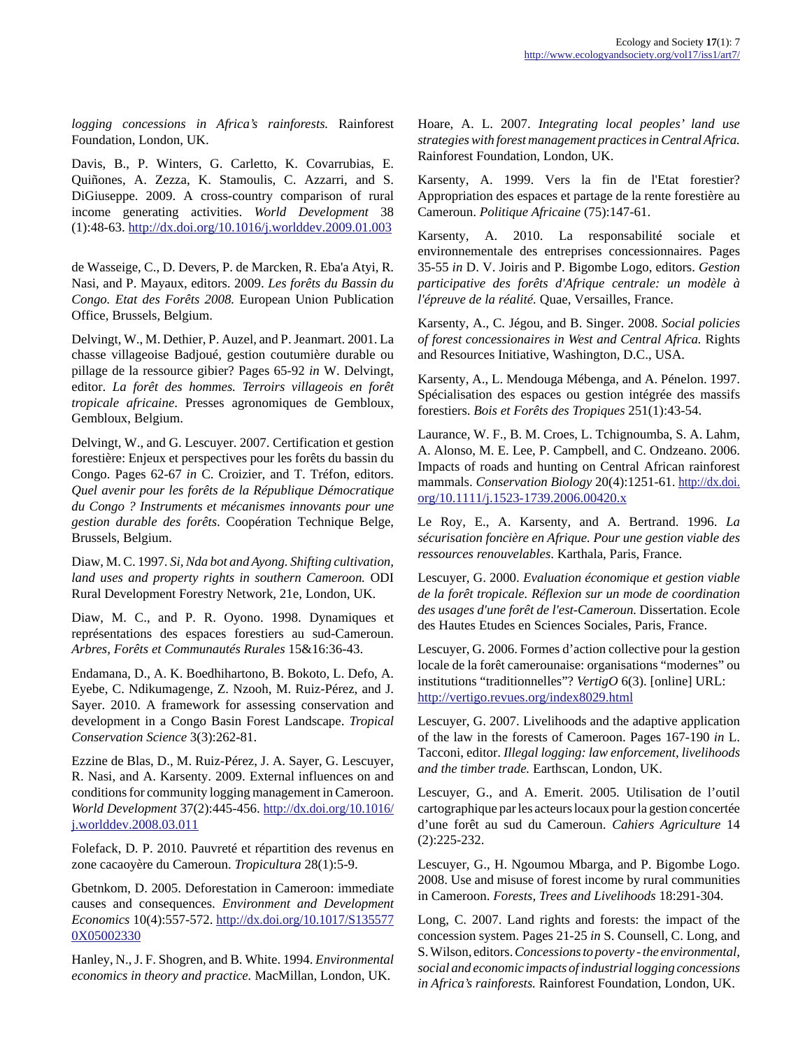*logging concessions in Africa's rainforests.* Rainforest Foundation, London, UK.

Davis, B., P. Winters, G. Carletto, K. Covarrubias, E. Quiñones, A. Zezza, K. Stamoulis, C. Azzarri, and S. DiGiuseppe. 2009. A cross-country comparison of rural income generating activities. *World Development* 38 (1):48-63. <http://dx.doi.org/10.1016/j.worlddev.2009.01.003>

de Wasseige, C., D. Devers, P. de Marcken, R. Eba'a Atyi, R. Nasi, and P. Mayaux, editors. 2009. *Les forêts du Bassin du Congo. Etat des Forêts 2008.* European Union Publication Office, Brussels, Belgium.

Delvingt, W., M. Dethier, P. Auzel, and P. Jeanmart. 2001. La chasse villageoise Badjoué, gestion coutumière durable ou pillage de la ressource gibier? Pages 65-92 *in* W. Delvingt, editor. *La forêt des hommes. Terroirs villageois en forêt tropicale africaine*. Presses agronomiques de Gembloux, Gembloux, Belgium.

Delvingt, W., and G. Lescuyer. 2007. Certification et gestion forestière: Enjeux et perspectives pour les forêts du bassin du Congo. Pages 62-67 *in* C. Croizier, and T. Tréfon, editors. *Quel avenir pour les forêts de la République Démocratique du Congo ? Instruments et mécanismes innovants pour une gestion durable des forêts*. Coopération Technique Belge, Brussels, Belgium.

Diaw, M. C. 1997. *Si, Nda bot and Ayong. Shifting cultivation, land uses and property rights in southern Cameroon.* ODI Rural Development Forestry Network, 21e, London, UK.

Diaw, M. C., and P. R. Oyono. 1998. Dynamiques et représentations des espaces forestiers au sud-Cameroun. *Arbres, Forêts et Communautés Rurales* 15&16:36-43.

Endamana, D., A. K. Boedhihartono, B. Bokoto, L. Defo, A. Eyebe, C. Ndikumagenge, Z. Nzooh, M. Ruiz-Pérez, and J. Sayer. 2010. A framework for assessing conservation and development in a Congo Basin Forest Landscape. *Tropical Conservation Science* 3(3):262-81.

Ezzine de Blas, D., M. Ruiz-Pérez, J. A. Sayer, G. Lescuyer, R. Nasi, and A. Karsenty. 2009. External influences on and conditions for community logging management in Cameroon. *World Development* 37(2):445-456. [http://dx.doi.org/10.1016/](http://dx.doi.org/10.1016/j.worlddev.2008.03.011) [j.worlddev.2008.03.011](http://dx.doi.org/10.1016/j.worlddev.2008.03.011)

Folefack, D. P. 2010. Pauvreté et répartition des revenus en zone cacaoyère du Cameroun. *Tropicultura* 28(1):5-9.

Gbetnkom, D. 2005. Deforestation in Cameroon: immediate causes and consequences. *Environment and Development Economics* 10(4):557-572. [http://dx.doi.org/10.1017/S135577](http://dx.doi.org/10.1017/S1355770X05002330) [0X05002330](http://dx.doi.org/10.1017/S1355770X05002330)

Hanley, N., J. F. Shogren, and B. White. 1994. *Environmental economics in theory and practice.* MacMillan, London, UK.

Hoare, A. L. 2007. *Integrating local peoples' land use strategies with forest management practices in Central Africa.* Rainforest Foundation, London, UK.

Karsenty, A. 1999. Vers la fin de l'Etat forestier? Appropriation des espaces et partage de la rente forestière au Cameroun. *Politique Africaine* (75):147-61.

Karsenty, A. 2010. La responsabilité sociale et environnementale des entreprises concessionnaires. Pages 35-55 *in* D. V. Joiris and P. Bigombe Logo, editors. *Gestion participative des forêts d'Afrique centrale: un modèle à l'épreuve de la réalité.* Quae, Versailles, France.

Karsenty, A., C. Jégou, and B. Singer. 2008. *Social policies of forest concessionaires in West and Central Africa.* Rights and Resources Initiative, Washington, D.C., USA.

Karsenty, A., L. Mendouga Mébenga, and A. Pénelon. 1997. Spécialisation des espaces ou gestion intégrée des massifs forestiers. *Bois et Forêts des Tropiques* 251(1):43-54.

Laurance, W. F., B. M. Croes, L. Tchignoumba, S. A. Lahm, A. Alonso, M. E. Lee, P. Campbell, and C. Ondzeano. 2006. Impacts of roads and hunting on Central African rainforest mammals. *Conservation Biology* 20(4):1251-61. [http://dx.doi.](http://dx.doi.org/10.1111/j.1523-1739.2006.00420.x) [org/10.1111/j.1523-1739.2006.00420.x](http://dx.doi.org/10.1111/j.1523-1739.2006.00420.x)

Le Roy, E., A. Karsenty, and A. Bertrand. 1996. *La sécurisation foncière en Afrique. Pour une gestion viable des ressources renouvelables*. Karthala, Paris, France.

Lescuyer, G. 2000. *Evaluation économique et gestion viable de la forêt tropicale. Réflexion sur un mode de coordination des usages d'une forêt de l'est-Cameroun.* Dissertation. Ecole des Hautes Etudes en Sciences Sociales, Paris, France.

Lescuyer, G. 2006. Formes d'action collective pour la gestion locale de la forêt camerounaise: organisations "modernes" ou institutions "traditionnelles"? *VertigO* 6(3). [online] URL: <http://vertigo.revues.org/index8029.html>

Lescuyer, G. 2007. Livelihoods and the adaptive application of the law in the forests of Cameroon. Pages 167-190 *in* L. Tacconi, editor. *Illegal logging: law enforcement, livelihoods and the timber trade.* Earthscan, London, UK.

Lescuyer, G., and A. Emerit. 2005. Utilisation de l'outil cartographique par les acteurs locaux pour la gestion concertée d'une forêt au sud du Cameroun. *Cahiers Agriculture* 14 (2):225-232.

Lescuyer, G., H. Ngoumou Mbarga, and P. Bigombe Logo. 2008. Use and misuse of forest income by rural communities in Cameroon. *Forests, Trees and Livelihoods* 18:291-304.

Long, C. 2007. Land rights and forests: the impact of the concession system. Pages 21-25 *in* S. Counsell, C. Long, and S. Wilson, editors. *Concessions to poverty - the environmental, social and economic impacts of industrial logging concessions in Africa's rainforests.* Rainforest Foundation, London, UK.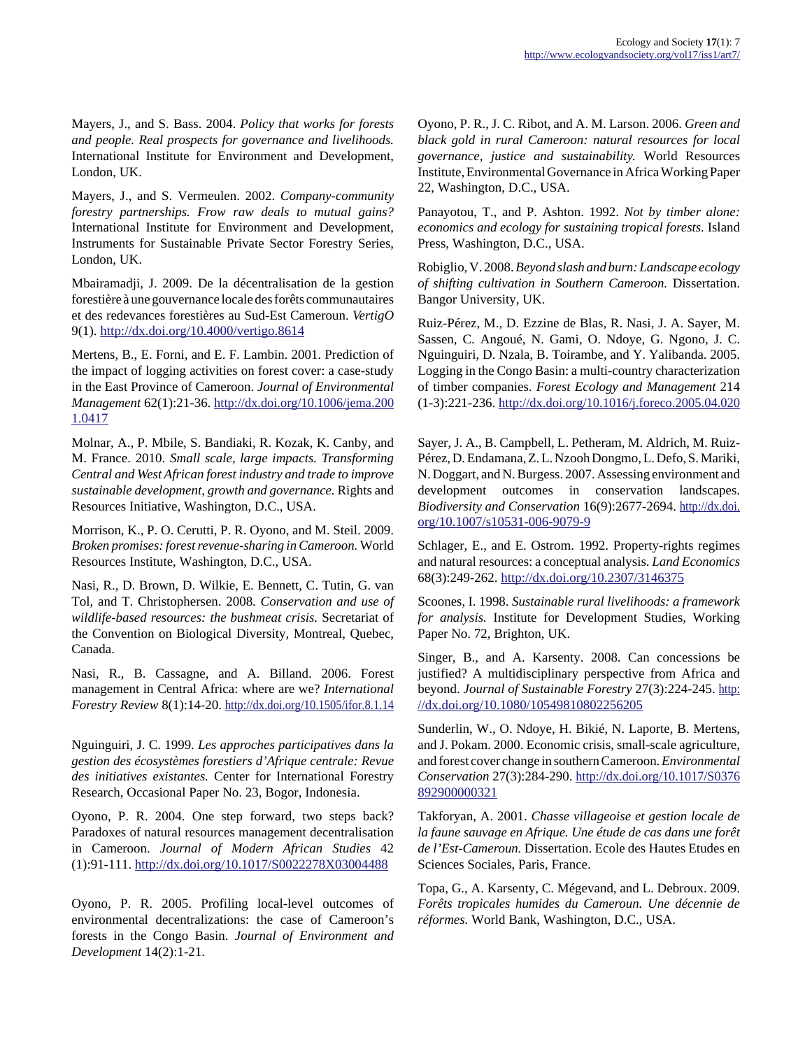Mayers, J., and S. Bass. 2004. *Policy that works for forests and people. Real prospects for governance and livelihoods.* International Institute for Environment and Development, London, UK.

Mayers, J., and S. Vermeulen. 2002. *Company-community forestry partnerships. Frow raw deals to mutual gains?* International Institute for Environment and Development, Instruments for Sustainable Private Sector Forestry Series, London, UK.

Mbairamadji, J. 2009. De la décentralisation de la gestion forestière à une gouvernance locale des forêts communautaires et des redevances forestières au Sud-Est Cameroun. *VertigO* 9(1). <http://dx.doi.org/10.4000/vertigo.8614>

Mertens, B., E. Forni, and E. F. Lambin. 2001. Prediction of the impact of logging activities on forest cover: a case-study in the East Province of Cameroon. *Journal of Environmental Management* 62(1):21-36. [http://dx.doi.org/10.1006/jema.200](http://dx.doi.org/10.1006/jema.2001.0417) [1.0417](http://dx.doi.org/10.1006/jema.2001.0417)

Molnar, A., P. Mbile, S. Bandiaki, R. Kozak, K. Canby, and M. France. 2010. *Small scale, large impacts. Transforming Central and West African forest industry and trade to improve sustainable development, growth and governance.* Rights and Resources Initiative, Washington, D.C., USA.

Morrison, K., P. O. Cerutti, P. R. Oyono, and M. Steil. 2009. *Broken promises: forest revenue-sharing in Cameroon.* World Resources Institute, Washington, D.C., USA.

Nasi, R., D. Brown, D. Wilkie, E. Bennett, C. Tutin, G. van Tol, and T. Christophersen. 2008. *Conservation and use of wildlife-based resources: the bushmeat crisis.* Secretariat of the Convention on Biological Diversity, Montreal, Quebec, Canada.

Nasi, R., B. Cassagne, and A. Billand. 2006. Forest management in Central Africa: where are we? *International Forestry Review* 8(1):14-20. <http://dx.doi.org/10.1505/ifor.8.1.14>

Nguinguiri, J. C. 1999. *Les approches participatives dans la gestion des écosystèmes forestiers d'Afrique centrale: Revue des initiatives existantes.* Center for International Forestry Research, Occasional Paper No. 23, Bogor, Indonesia.

Oyono, P. R. 2004. One step forward, two steps back? Paradoxes of natural resources management decentralisation in Cameroon. *Journal of Modern African Studies* 42 (1):91-111. <http://dx.doi.org/10.1017/S0022278X03004488>

Oyono, P. R. 2005. Profiling local-level outcomes of environmental decentralizations: the case of Cameroon's forests in the Congo Basin. *Journal of Environment and Development* 14(2):1-21.

Oyono, P. R., J. C. Ribot, and A. M. Larson. 2006. *Green and black gold in rural Cameroon: natural resources for local governance, justice and sustainability.* World Resources Institute, Environmental Governance in Africa Working Paper 22, Washington, D.C., USA.

Panayotou, T., and P. Ashton. 1992. *Not by timber alone: economics and ecology for sustaining tropical forests.* Island Press, Washington, D.C., USA.

Robiglio, V. 2008. *Beyond slash and burn: Landscape ecology of shifting cultivation in Southern Cameroon.* Dissertation. Bangor University, UK.

Ruiz-Pérez, M., D. Ezzine de Blas, R. Nasi, J. A. Sayer, M. Sassen, C. Angoué, N. Gami, O. Ndoye, G. Ngono, J. C. Nguinguiri, D. Nzala, B. Toirambe, and Y. Yalibanda. 2005. Logging in the Congo Basin: a multi-country characterization of timber companies. *Forest Ecology and Management* 214 (1-3):221-236.<http://dx.doi.org/10.1016/j.foreco.2005.04.020>

Sayer, J. A., B. Campbell, L. Petheram, M. Aldrich, M. Ruiz-Pérez, D. Endamana, Z. L. Nzooh Dongmo, L. Defo, S. Mariki, N. Doggart, and N. Burgess. 2007. Assessing environment and development outcomes in conservation landscapes. *Biodiversity and Conservation* 16(9):2677-2694. [http://dx.doi.](http://dx.doi.org/10.1007/s10531-006-9079-9) [org/10.1007/s10531-006-9079-9](http://dx.doi.org/10.1007/s10531-006-9079-9)

Schlager, E., and E. Ostrom. 1992. Property-rights regimes and natural resources: a conceptual analysis. *Land Economics* 68(3):249-262. <http://dx.doi.org/10.2307/3146375>

Scoones, I. 1998. *Sustainable rural livelihoods: a framework for analysis.* Institute for Development Studies, Working Paper No. 72, Brighton, UK.

Singer, B., and A. Karsenty. 2008. Can concessions be justified? A multidisciplinary perspective from Africa and beyond. *Journal of Sustainable Forestry* 27(3):224-245. [http:](http://dx.doi.org/10.1080/10549810802256205) [//dx.doi.org/10.1080/10549810802256205](http://dx.doi.org/10.1080/10549810802256205)

Sunderlin, W., O. Ndoye, H. Bikié, N. Laporte, B. Mertens, and J. Pokam. 2000. Economic crisis, small-scale agriculture, and forest cover change in southern Cameroon. *Environmental Conservation* 27(3):284-290. [http://dx.doi.org/10.1017/S0376](http://dx.doi.org/10.1017/S0376892900000321) [892900000321](http://dx.doi.org/10.1017/S0376892900000321)

Takforyan, A. 2001. *Chasse villageoise et gestion locale de la faune sauvage en Afrique. Une étude de cas dans une forêt de l'Est-Cameroun.* Dissertation. Ecole des Hautes Etudes en Sciences Sociales, Paris, France.

Topa, G., A. Karsenty, C. Mégevand, and L. Debroux. 2009. *Forêts tropicales humides du Cameroun. Une décennie de réformes.* World Bank, Washington, D.C., USA.